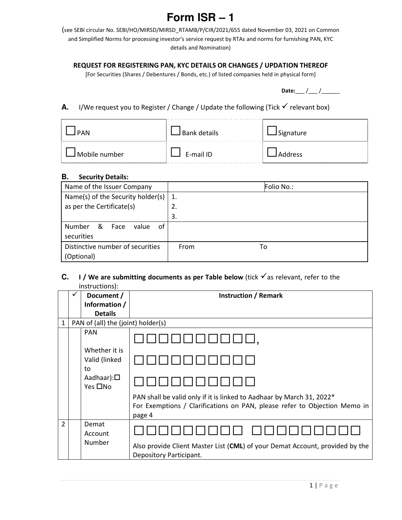# **Form ISR – 1**

(see SEBI circular No. SEBI/HO/MIRSD/MIRSD\_RTAMB/P/CIR/2021/655 dated November 03, 2021 on Common and Simplified Norms for processing investor's service request by RTAs and norms for furnishing PAN, KYC details and Nomination)

### REQUEST FOR REGISTERING PAN, KYC DETAILS OR CHANGES / UPDATION THEREOF

[For Securities (Shares / Debentures / Bonds, etc.) of listed companies held in physical form]

Date:  $\frac{1}{2}$  / \_\_\_ / \_\_\_\_\_\_\_\_

## **A.** I/We request you to Register / Change / Update the following (Tick  $\checkmark$  relevant box)

| <b>PAN</b>    | J Bank details | Signature |
|---------------|----------------|-----------|
| Mobile number | E-mail ID      | Address   |

#### **B.** Security Details:

| Name of the Issuer Company                | Folio No.: |
|-------------------------------------------|------------|
| Name(s) of the Security holder(s)         | 1.         |
| as per the Certificate(s)                 | 2.         |
|                                           | 3.         |
| 0f<br><b>Number</b><br>&<br>Face<br>value |            |
| securities                                |            |
| Distinctive number of securities          | From<br>To |
| (Optional)                                |            |

#### **C. I** / We are submitting documents as per Table below (tick  $\checkmark$  as relevant, refer to the instructions):

|                |                                    | Document /                           | <b>Instruction / Remark</b>                                                                                                                                  |
|----------------|------------------------------------|--------------------------------------|--------------------------------------------------------------------------------------------------------------------------------------------------------------|
|                |                                    | Information /                        |                                                                                                                                                              |
|                |                                    | <b>Details</b>                       |                                                                                                                                                              |
| $\mathbf{1}$   | PAN of (all) the (joint) holder(s) |                                      |                                                                                                                                                              |
|                |                                    | <b>PAN</b>                           |                                                                                                                                                              |
|                |                                    | Whether it is<br>Valid (linked<br>to |                                                                                                                                                              |
|                |                                    | Aadhaar): $\square$<br>Yes □No       |                                                                                                                                                              |
|                |                                    |                                      | PAN shall be valid only if it is linked to Aadhaar by March 31, 2022*<br>For Exemptions / Clarifications on PAN, please refer to Objection Memo in<br>page 4 |
| $\overline{2}$ |                                    | Demat<br>Account<br>Number           |                                                                                                                                                              |
|                |                                    |                                      | Also provide Client Master List (CML) of your Demat Account, provided by the<br>Depository Participant.                                                      |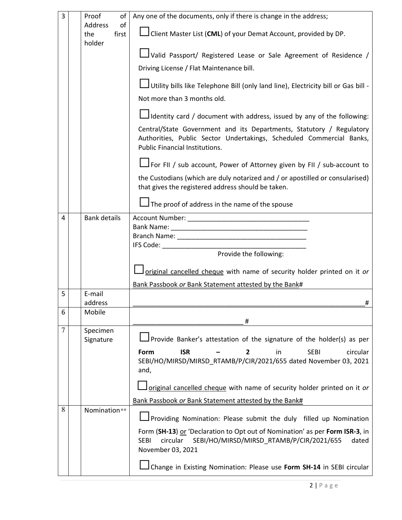| 3 | Proof<br>of                             | Any one of the documents, only if there is change in the address;                                                                                                                 |
|---|-----------------------------------------|-----------------------------------------------------------------------------------------------------------------------------------------------------------------------------------|
|   | of<br>Address<br>first<br>the<br>holder | L Client Master List (CML) of your Demat Account, provided by DP.                                                                                                                 |
|   |                                         | Valid Passport/ Registered Lease or Sale Agreement of Residence /                                                                                                                 |
|   |                                         | Driving License / Flat Maintenance bill.                                                                                                                                          |
|   |                                         | Utility bills like Telephone Bill (only land line), Electricity bill or Gas bill -                                                                                                |
|   |                                         | Not more than 3 months old.                                                                                                                                                       |
|   |                                         | Identity card / document with address, issued by any of the following:                                                                                                            |
|   |                                         | Central/State Government and its Departments, Statutory / Regulatory<br>Authorities, Public Sector Undertakings, Scheduled Commercial Banks,<br>Public Financial Institutions.    |
|   |                                         | For FII / sub account, Power of Attorney given by FII / sub-account to                                                                                                            |
|   |                                         | the Custodians (which are duly notarized and / or apostilled or consularised)<br>that gives the registered address should be taken.                                               |
|   |                                         | $\Box$ The proof of address in the name of the spouse                                                                                                                             |
| 4 | <b>Bank details</b>                     |                                                                                                                                                                                   |
|   |                                         |                                                                                                                                                                                   |
|   |                                         |                                                                                                                                                                                   |
|   |                                         | Provide the following:                                                                                                                                                            |
|   |                                         | original cancelled cheque with name of security holder printed on it or                                                                                                           |
| 5 | E-mail                                  | Bank Passbook or Bank Statement attested by the Bank#                                                                                                                             |
|   | address                                 | #                                                                                                                                                                                 |
| 6 | Mobile                                  | #                                                                                                                                                                                 |
| 7 | Specimen<br>Signature                   | Provide Banker's attestation of the signature of the holder(s) as per                                                                                                             |
|   |                                         | <b>ISR</b><br><b>SEBI</b><br>in<br>circular<br>Form<br>2<br>SEBI/HO/MIRSD/MIRSD_RTAMB/P/CIR/2021/655 dated November 03, 2021<br>and,                                              |
|   |                                         | original cancelled cheque with name of security holder printed on it or                                                                                                           |
|   |                                         | Bank Passbook or Bank Statement attested by the Bank#                                                                                                                             |
| 8 | Nomination**                            | Providing Nomination: Please submit the duly filled up Nomination                                                                                                                 |
|   |                                         | Form (SH-13) or 'Declaration to Opt out of Nomination' as per Form ISR-3, in<br>circular<br>SEBI/HO/MIRSD/MIRSD_RTAMB/P/CIR/2021/655<br>dated<br><b>SEBI</b><br>November 03, 2021 |
|   |                                         | Change in Existing Nomination: Please use Form SH-14 in SEBI circular                                                                                                             |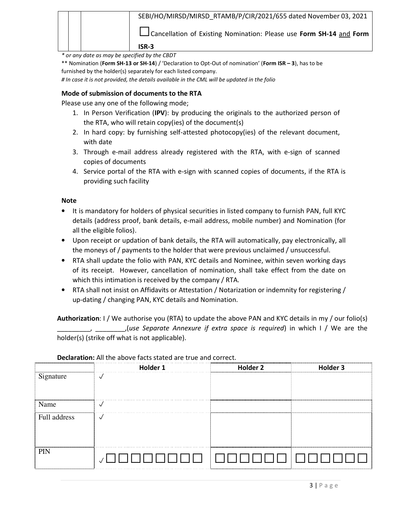|  | SEBI/HO/MIRSD/MIRSD RTAMB/P/CIR/2021/655 dated November 03, 2021    |
|--|---------------------------------------------------------------------|
|  | Cancellation of Existing Nomination: Please use Form SH-14 and Form |
|  | $ISR-3$                                                             |

\* or any date as may be specified by the CBDT

\*\* Nomination (Form SH-13 or SH-14) / 'Declaration to Opt-Out of nomination' (Form ISR - 3), has to be furnished by the holder(s) separately for each listed company.

# In case it is not provided, the details available in the CML will be updated in the folio

#### Mode of submission of documents to the RTA

Please use any one of the following mode;

- 1. In Person Verification (IPV): by producing the originals to the authorized person of the RTA, who will retain copy(ies) of the document(s)
- 2. In hard copy: by furnishing self-attested photocopy(ies) of the relevant document, with date
- 3. Through e-mail address already registered with the RTA, with e-sign of scanned copies of documents
- 4. Service portal of the RTA with e-sign with scanned copies of documents, if the RTA is providing such facility

#### **Note**

- It is mandatory for holders of physical securities in listed company to furnish PAN, full KYC details (address proof, bank details, e-mail address, mobile number) and Nomination (for all the eligible folios).
- Upon receipt or updation of bank details, the RTA will automatically, pay electronically, all the moneys of / payments to the holder that were previous unclaimed / unsuccessful.
- RTA shall update the folio with PAN, KYC details and Nominee, within seven working days of its receipt. However, cancellation of nomination, shall take effect from the date on which this intimation is received by the company / RTA.
- RTA shall not insist on Affidavits or Attestation / Notarization or indemnity for registering / up-dating / changing PAN, KYC details and Nomination.

Authorization: I / We authorise you (RTA) to update the above PAN and KYC details in my / our folio(s) \_,(use Separate Annexure if extra space is required) in which I / We are the holder(s) (strike off what is not applicable).

|              | Holder 1     | Holder <sub>2</sub> | Holder 3 |
|--------------|--------------|---------------------|----------|
| Signature    | $\sqrt{}$    |                     |          |
|              |              |                     |          |
|              |              |                     |          |
| Name         | √            |                     |          |
| Full address | $\checkmark$ |                     |          |
|              |              |                     |          |
|              |              |                     |          |
| PIN          |              |                     |          |
|              |              |                     |          |
|              |              |                     |          |

#### Declaration: All the above facts stated are true and correct.